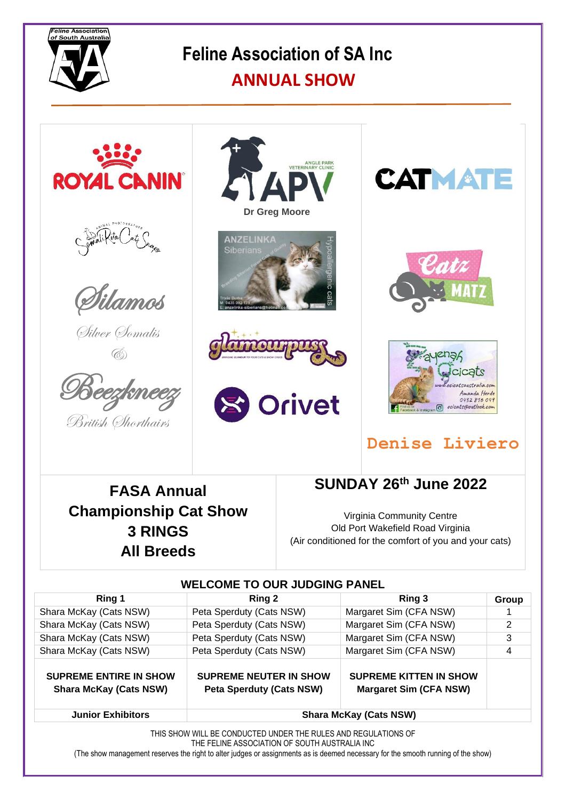

# **Feline Association of SA Inc**

### **ANNUAL SHOW**



## **Denise Liviero**

**FASA Annual Championship Cat Show 3 RINGS All Breeds**

**SUNDAY 26th June 2022**

Virginia Community Centre Old Port Wakefield Road Virginia (Air conditioned for the comfort of you and your cats)

| <b>WELCOME TO OUR JUDGING PANEL</b>                                                                             |                                                                  |                                                                |                |
|-----------------------------------------------------------------------------------------------------------------|------------------------------------------------------------------|----------------------------------------------------------------|----------------|
| Ring 1                                                                                                          | Ring 2                                                           | Ring 3                                                         | Group          |
| Shara McKay (Cats NSW)                                                                                          | Peta Sperduty (Cats NSW)                                         | Margaret Sim (CFA NSW)                                         |                |
| Shara McKay (Cats NSW)                                                                                          | Peta Sperduty (Cats NSW)                                         | Margaret Sim (CFA NSW)                                         | $\overline{2}$ |
| Shara McKay (Cats NSW)                                                                                          | Peta Sperduty (Cats NSW)                                         | Margaret Sim (CFA NSW)                                         | 3              |
| Shara McKay (Cats NSW)                                                                                          | Peta Sperduty (Cats NSW)                                         | Margaret Sim (CFA NSW)                                         | 4              |
| <b>SUPREME ENTIRE IN SHOW</b><br><b>Shara McKay (Cats NSW)</b>                                                  | <b>SUPREME NEUTER IN SHOW</b><br><b>Peta Sperduty (Cats NSW)</b> | <b>SUPREME KITTEN IN SHOW</b><br><b>Margaret Sim (CFA NSW)</b> |                |
| <b>Junior Exhibitors</b>                                                                                        | <b>Shara McKay (Cats NSW)</b>                                    |                                                                |                |
| THIS SHOW WILL BE CONDUCTED UNDER THE RULES AND REGULATIONS OF<br>THE FELINE ASSOCIATION OF SOUTH AUSTRALIA INC |                                                                  |                                                                |                |

(The show management reserves the right to alter judges or assignments as is deemed necessary for the smooth running of the show)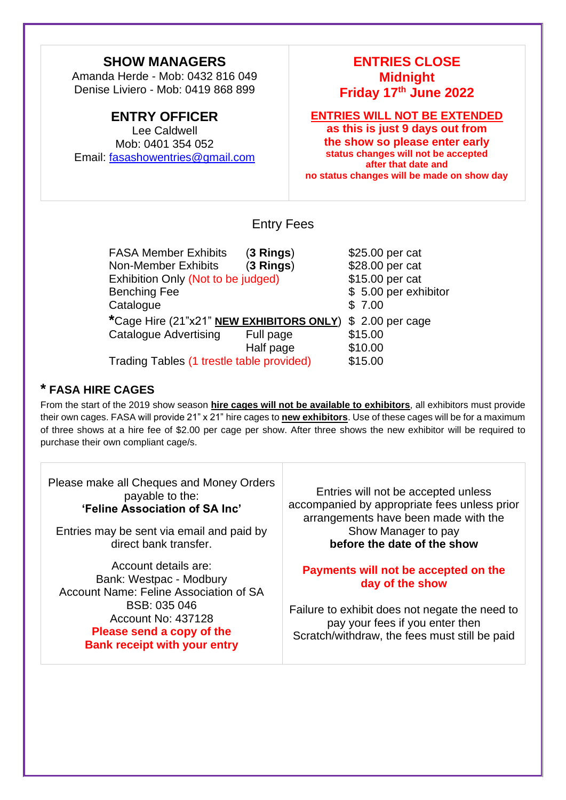### **SHOW MANAGERS**

Amanda Herde - Mob: 0432 816 049 Denise Liviero - Mob: 0419 868 899

#### **ENTRY OFFICER**

Lee Caldwell Mob: 0401 354 052 Email: [fasashowentries@gmail.com](mailto:fasashowentries@gmail.com)

### **ENTRIES CLOSE Midnight Friday 17th June 2022**

#### **ENTRIES WILL NOT BE EXTENDED**

**as this is just 9 days out from the show so please enter early status changes will not be accepted after that date and no status changes will be made on show day**

#### Entry Fees

FASA Member Exhibits (**3 Rings**) \$25.00 per cat Non-Member Exhibits (**3 Rings**) \$28.00 per cat Exhibition Only (Not to be judged) \$15.00 per cat Benching Fee  $$ 5.00$  per exhibitor Catalogue \$7.00 **\***Cage Hire (21"x21" **NEW EXHIBITORS ONLY**) \$ 2.00 per cage Catalogue Advertising Full page \$15.00 Half page \$10.00 Trading Tables (1 trestle table provided) \$15.00

**\* FASA HIRE CAGES**

From the start of the 2019 show season **hire cages will not be available to exhibitors**, all exhibitors must provide their own cages. FASA will provide 21" x 21" hire cages to **new exhibitors**. Use of these cages will be for a maximum of three shows at a hire fee of \$2.00 per cage per show. After three shows the new exhibitor will be required to purchase their own compliant cage/s.

Please make all Cheques and Money Orders payable to the: **'Feline Association of SA Inc'**

Entries may be sent via email and paid by direct bank transfer.

Account details are: Bank: Westpac - Modbury Account Name: Feline Association of SA BSB: 035 046 Account No: 437128 **Please send a copy of the Bank receipt with your entry**

Entries will not be accepted unless accompanied by appropriate fees unless prior arrangements have been made with the Show Manager to pay **before the date of the show**

#### **Payments will not be accepted on the day of the show**

Failure to exhibit does not negate the need to pay your fees if you enter then Scratch/withdraw, the fees must still be paid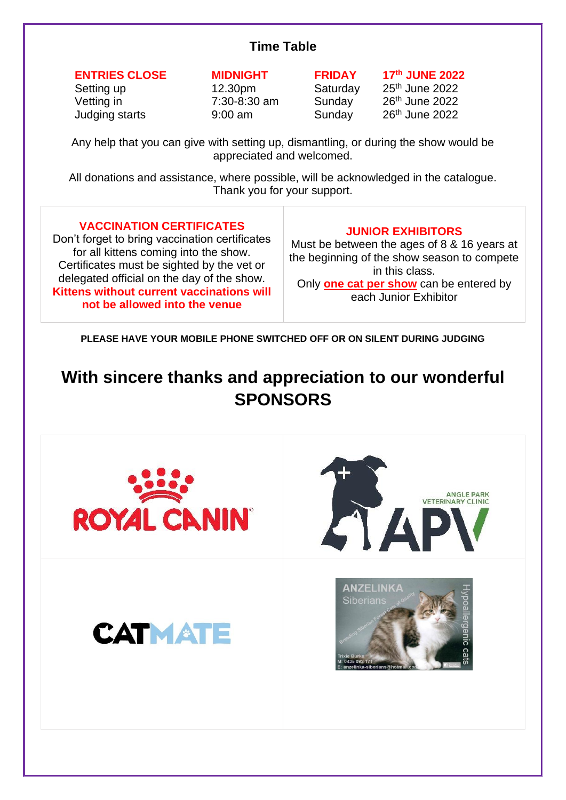### **Time Table**

#### **ENTRIES CLOSE MIDNIGHT FRIDAY 17th JUNE 2022**

Judging starts 9:00 am Sunday

Setting up 12.30pm Saturday 25<sup>th</sup> June 2022 Vetting in 7:30-8:30 am Sunday 26th June 2022  $26<sup>th</sup>$  June  $2022$ 

Any help that you can give with setting up, dismantling, or during the show would be appreciated and welcomed.

All donations and assistance, where possible, will be acknowledged in the catalogue. Thank you for your support.

#### **VACCINATION CERTIFICATES**

Don't forget to bring vaccination certificates for all kittens coming into the show. Certificates must be sighted by the vet or delegated official on the day of the show. **Kittens without current vaccinations will not be allowed into the venue**

#### **JUNIOR EXHIBITORS**

Must be between the ages of 8 & 16 years at the beginning of the show season to compete in this class. Only **one cat per show** can be entered by each Junior Exhibitor

**PLEASE HAVE YOUR MOBILE PHONE SWITCHED OFF OR ON SILENT DURING JUDGING**

### **With sincere thanks and appreciation to our wonderful SPONSORS**